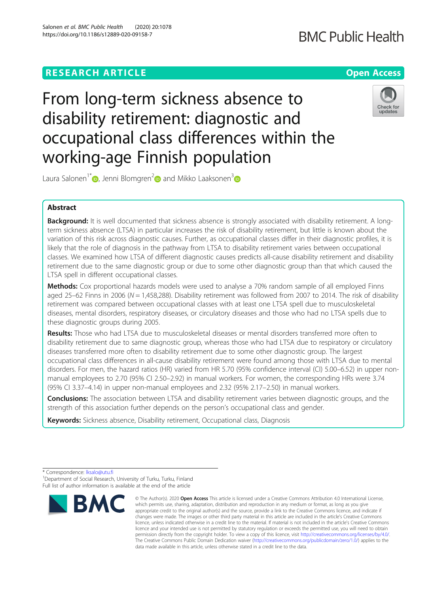# **BMC Public Health**

# **RESEARCH ARTICLE Example 2014 12:30 The Contract of Contract ACCESS**

From long-term sickness absence to disability retirement: diagnostic and occupational class differences within the working-age Finnish population



Laura Salonen<sup>1[\\*](http://orcid.org/0000-0001-8295-7073)</sup> , Jenni Blomgren<sup>2</sup> and Mikko Laaksonen<sup>3</sup>

# Abstract

Background: It is well documented that sickness absence is strongly associated with disability retirement. A longterm sickness absence (LTSA) in particular increases the risk of disability retirement, but little is known about the variation of this risk across diagnostic causes. Further, as occupational classes differ in their diagnostic profiles, it is likely that the role of diagnosis in the pathway from LTSA to disability retirement varies between occupational classes. We examined how LTSA of different diagnostic causes predicts all-cause disability retirement and disability retirement due to the same diagnostic group or due to some other diagnostic group than that which caused the LTSA spell in different occupational classes.

**Methods:** Cox proportional hazards models were used to analyse a 70% random sample of all employed Finns aged 25–62 Finns in 2006 ( $N = 1,458,288$ ). Disability retirement was followed from 2007 to 2014. The risk of disability retirement was compared between occupational classes with at least one LTSA spell due to musculoskeletal diseases, mental disorders, respiratory diseases, or circulatory diseases and those who had no LTSA spells due to these diagnostic groups during 2005.

Results: Those who had LTSA due to musculoskeletal diseases or mental disorders transferred more often to disability retirement due to same diagnostic group, whereas those who had LTSA due to respiratory or circulatory diseases transferred more often to disability retirement due to some other diagnostic group. The largest occupational class differences in all-cause disability retirement were found among those with LTSA due to mental disorders. For men, the hazard ratios (HR) varied from HR 5.70 (95% confidence interval (CI) 5.00–6.52) in upper nonmanual employees to 2.70 (95% CI 2.50–2.92) in manual workers. For women, the corresponding HRs were 3.74 (95% CI 3.37–4.14) in upper non-manual employees and 2.32 (95% 2.17–2.50) in manual workers.

**Conclusions:** The association between LTSA and disability retirement varies between diagnostic groups, and the strength of this association further depends on the person's occupational class and gender.

Keywords: Sickness absence, Disability retirement, Occupational class, Diagnosis

\* Correspondence: [lksalo@utu.fi](mailto:lksalo@utu.fi) <sup>1</sup>

<sup>1</sup>Department of Social Research, University of Turku, Turku, Finland Full list of author information is available at the end of the article



<sup>©</sup> The Author(s), 2020 **Open Access** This article is licensed under a Creative Commons Attribution 4.0 International License, which permits use, sharing, adaptation, distribution and reproduction in any medium or format, as long as you give appropriate credit to the original author(s) and the source, provide a link to the Creative Commons licence, and indicate if changes were made. The images or other third party material in this article are included in the article's Creative Commons licence, unless indicated otherwise in a credit line to the material. If material is not included in the article's Creative Commons licence and your intended use is not permitted by statutory regulation or exceeds the permitted use, you will need to obtain permission directly from the copyright holder. To view a copy of this licence, visit [http://creativecommons.org/licenses/by/4.0/.](http://creativecommons.org/licenses/by/4.0/) The Creative Commons Public Domain Dedication waiver [\(http://creativecommons.org/publicdomain/zero/1.0/](http://creativecommons.org/publicdomain/zero/1.0/)) applies to the data made available in this article, unless otherwise stated in a credit line to the data.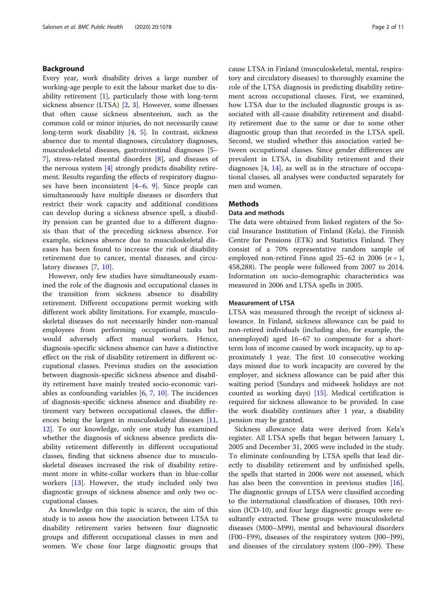# Background

Every year, work disability drives a large number of working-age people to exit the labour market due to disability retirement  $[1]$  $[1]$ , particularly those with long-term sickness absence (LTSA) [[2,](#page-10-0) [3](#page-10-0)]. However, some illnesses that often cause sickness absenteeism, such as the common cold or minor injuries, do not necessarily cause long-term work disability [\[4](#page-10-0), [5\]](#page-10-0). In contrast, sickness absence due to mental diagnoses, circulatory diagnoses, musculoskeletal diseases, gastrointestinal diagnoses [[5](#page-10-0)– [7\]](#page-10-0), stress-related mental disorders [[8\]](#page-10-0), and diseases of the nervous system [\[4](#page-10-0)] strongly predicts disability retirement. Results regarding the effects of respiratory diagnoses have been inconsistent [\[4](#page-10-0)–[6,](#page-10-0) [9](#page-10-0)]. Since people can simultaneously have multiple diseases or disorders that restrict their work capacity and additional conditions can develop during a sickness absence spell, a disability pension can be granted due to a different diagnosis than that of the preceding sickness absence. For example, sickness absence due to musculoskeletal diseases has been found to increase the risk of disability retirement due to cancer, mental diseases, and circulatory diseases [[7,](#page-10-0) [10\]](#page-10-0).

However, only few studies have simultaneously examined the role of the diagnosis and occupational classes in the transition from sickness absence to disability retirement. Different occupations permit working with different work ability limitations. For example, musculoskeletal diseases do not necessarily hinder non-manual employees from performing occupational tasks but would adversely affect manual workers. Hence, diagnosis-specific sickness absence can have a distinctive effect on the risk of disability retirement in different occupational classes. Previous studies on the association between diagnosis-specific sickness absence and disability retirement have mainly treated socio-economic variables as confounding variables  $[6, 7, 10]$  $[6, 7, 10]$  $[6, 7, 10]$  $[6, 7, 10]$  $[6, 7, 10]$  $[6, 7, 10]$ . The incidences of diagnosis-specific sickness absence and disability retirement vary between occupational classes, the differences being the largest in musculoskeletal diseases [[11](#page-10-0), [12\]](#page-10-0). To our knowledge, only one study has examined whether the diagnosis of sickness absence predicts disability retirement differently in different occupational classes, finding that sickness absence due to musculoskeletal diseases increased the risk of disability retirement more in white-collar workers than in blue-collar workers [\[13](#page-10-0)]. However, the study included only two diagnostic groups of sickness absence and only two occupational classes.

As knowledge on this topic is scarce, the aim of this study is to assess how the association between LTSA to disability retirement varies between four diagnostic groups and different occupational classes in men and women. We chose four large diagnostic groups that cause LTSA in Finland (musculoskeletal, mental, respiratory and circulatory diseases) to thoroughly examine the role of the LTSA diagnosis in predicting disability retirement across occupational classes. First, we examined, how LTSA due to the included diagnostic groups is associated with all-cause disability retirement and disability retirement due to the same or due to some other diagnostic group than that recorded in the LTSA spell. Second, we studied whether this association varied between occupational classes. Since gender differences are prevalent in LTSA, in disability retirement and their diagnoses  $[4, 14]$  $[4, 14]$  $[4, 14]$ , as well as in the structure of occupational classes, all analyses were conducted separately for men and women.

# **Methods**

# Data and methods

The data were obtained from linked registers of the Social Insurance Institution of Finland (Kela), the Finnish Centre for Pensions (ETK) and Statistics Finland. They consist of a 70% representative random sample of employed non-retired Finns aged 25–62 in 2006 ( $n = 1$ , 458,288). The people were followed from 2007 to 2014. Information on socio-demographic characteristics was measured in 2006 and LTSA spells in 2005.

# Measurement of LTSA

LTSA was measured through the receipt of sickness allowance. In Finland, sickness allowance can be paid to non-retired individuals (including also, for example, the unemployed) aged 16–67 to compensate for a shortterm loss of income caused by work incapacity, up to approximately 1 year. The first 10 consecutive working days missed due to work incapacity are covered by the employer, and sickness allowance can be paid after this waiting period (Sundays and midweek holidays are not counted as working days)  $[15]$  $[15]$ . Medical certification is required for sickness allowance to be provided. In case the work disability continues after 1 year, a disability pension may be granted.

Sickness allowance data were derived from Kela's register. All LTSA spells that began between January 1, 2005 and December 31, 2005 were included in the study. To eliminate confounding by LTSA spells that lead directly to disability retirement and by unfinished spells, the spells that started in 2006 were not assessed, which has also been the convention in previous studies  $[16]$  $[16]$ . The diagnostic groups of LTSA were classified according to the international classification of diseases, 10th revision (ICD-10), and four large diagnostic groups were resultantly extracted. These groups were musculoskeletal diseases (M00–M99), mental and behavioural disorders (F00–F99), diseases of the respiratory system (J00–J99), and diseases of the circulatory system (I00–I99). These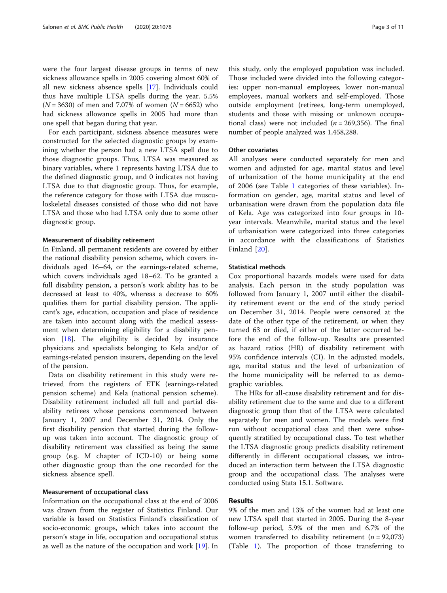were the four largest disease groups in terms of new sickness allowance spells in 2005 covering almost 60% of all new sickness absence spells [\[17\]](#page-10-0). Individuals could thus have multiple LTSA spells during the year. 5.5%  $(N = 3630)$  of men and 7.07% of women  $(N = 6652)$  who had sickness allowance spells in 2005 had more than one spell that began during that year.

For each participant, sickness absence measures were constructed for the selected diagnostic groups by examining whether the person had a new LTSA spell due to those diagnostic groups. Thus, LTSA was measured as binary variables, where 1 represents having LTSA due to the defined diagnostic group, and 0 indicates not having LTSA due to that diagnostic group. Thus, for example, the reference category for those with LTSA due musculoskeletal diseases consisted of those who did not have LTSA and those who had LTSA only due to some other diagnostic group.

#### Measurement of disability retirement

In Finland, all permanent residents are covered by either the national disability pension scheme, which covers individuals aged 16–64, or the earnings-related scheme, which covers individuals aged 18–62. To be granted a full disability pension, a person's work ability has to be decreased at least to 40%, whereas a decrease to 60% qualifies them for partial disability pension. The applicant's age, education, occupation and place of residence are taken into account along with the medical assessment when determining eligibility for a disability pension [\[18\]](#page-10-0). The eligibility is decided by insurance physicians and specialists belonging to Kela and/or of earnings-related pension insurers, depending on the level of the pension.

Data on disability retirement in this study were retrieved from the registers of ETK (earnings-related pension scheme) and Kela (national pension scheme). Disability retirement included all full and partial disability retirees whose pensions commenced between January 1, 2007 and December 31, 2014. Only the first disability pension that started during the followup was taken into account. The diagnostic group of disability retirement was classified as being the same group (e.g. M chapter of ICD-10) or being some other diagnostic group than the one recorded for the sickness absence spell.

#### Measurement of occupational class

Information on the occupational class at the end of 2006 was drawn from the register of Statistics Finland. Our variable is based on Statistics Finland's classification of socio-economic groups, which takes into account the person's stage in life, occupation and occupational status as well as the nature of the occupation and work [[19](#page-10-0)]. In

this study, only the employed population was included. Those included were divided into the following categories: upper non-manual employees, lower non-manual employees, manual workers and self-employed. Those outside employment (retirees, long-term unemployed, students and those with missing or unknown occupational class) were not included ( $n = 269,356$ ). The final number of people analyzed was 1,458,288.

# Other covariates

All analyses were conducted separately for men and women and adjusted for age, marital status and level of urbanization of the home municipality at the end of 2006 (see Table [1](#page-3-0) categories of these variables). Information on gender, age, marital status and level of urbanisation were drawn from the population data file of Kela. Age was categorized into four groups in 10 year intervals. Meanwhile, marital status and the level of urbanisation were categorized into three categories in accordance with the classifications of Statistics Finland [\[20](#page-10-0)].

#### Statistical methods

Cox proportional hazards models were used for data analysis. Each person in the study population was followed from January 1, 2007 until either the disability retirement event or the end of the study period on December 31, 2014. People were censored at the date of the other type of the retirement, or when they turned 63 or died, if either of the latter occurred before the end of the follow-up. Results are presented as hazard ratios (HR) of disability retirement with 95% confidence intervals (CI). In the adjusted models, age, marital status and the level of urbanization of the home municipality will be referred to as demographic variables.

The HRs for all-cause disability retirement and for disability retirement due to the same and due to a different diagnostic group than that of the LTSA were calculated separately for men and women. The models were first run without occupational class and then were subsequently stratified by occupational class. To test whether the LTSA diagnostic group predicts disability retirement differently in different occupational classes, we introduced an interaction term between the LTSA diagnostic group and the occupational class. The analyses were conducted using Stata 15.1. Software.

# Results

9% of the men and 13% of the women had at least one new LTSA spell that started in 2005. During the 8-year follow-up period, 5.9% of the men and 6.7% of the women transferred to disability retirement ( $n = 92,073$ ) (Table [1](#page-3-0)). The proportion of those transferring to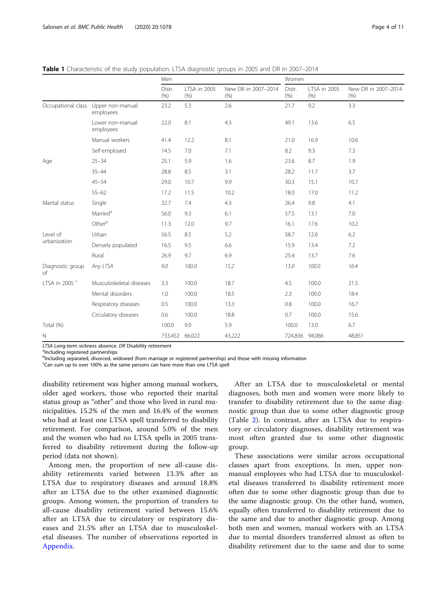|                           |                                                  | Men            |                      |                             | Women          |                      |                             |  |  |
|---------------------------|--------------------------------------------------|----------------|----------------------|-----------------------------|----------------|----------------------|-----------------------------|--|--|
|                           |                                                  | Distr.<br>(% ) | LTSA in 2005<br>(% ) | New DR in 2007-2014<br>(% ) | Distr.<br>(% ) | LTSA in 2005<br>(% ) | New DR in 2007-2014<br>(% ) |  |  |
|                           | Occupational class Upper non-manual<br>employees | 23.2           | 5.3                  | 2.6                         | 21.7           | 9.2                  | 3.3                         |  |  |
|                           | Lower non-manual<br>employees                    | 22.0           | 8.1                  | 4.3                         | 49.1           | 13.6                 | 6.5                         |  |  |
|                           | Manual workers                                   | 41.4           | 12.2                 | 8.1                         | 21.0           | 16.9                 | 10.6                        |  |  |
|                           | Self-employed                                    | 14.5           | 7.0                  | 7.1                         | 8.2            | 9.3                  | 7.3                         |  |  |
| Age                       | $25 - 34$                                        | 25.1           | 5.9                  | 1.6                         | 23.6           | 8.7                  | 1.9                         |  |  |
|                           | $35 - 44$                                        | 28.8           | 8.5                  | 3.1                         | 28.2           | 11.7                 | 3.7                         |  |  |
|                           | $45 - 54$                                        | 29.0           | 10.7                 | 9.9                         | 30.3           | 15.1                 | 10.7                        |  |  |
|                           | $55 - 62$                                        | 17.2           | 11.5                 | 10.2                        | 18.0           | 17.0                 | 11.2                        |  |  |
| Marital status            | Single                                           | 32.7           | 7.4                  | 4.3                         | 26.4           | 9.8                  | 4.1                         |  |  |
|                           | Married <sup>a</sup>                             | 56.0           | 9.3                  | 6.1                         | 57.5           | 13.1                 | 7.0                         |  |  |
|                           | Otherb                                           | 11.3           | 12.0                 | 9.7                         | 16.1           | 17.6                 | 10.2                        |  |  |
| Level of                  | Urban                                            | 56.5           | 8.5                  | 5.2                         | 58.7           | 12.6                 | 6.2                         |  |  |
| urbanization              | Densely populated                                | 16.5           | 9.5                  | 6.6                         | 15.9           | 13.4                 | 7.2                         |  |  |
|                           | Rural                                            | 26.9           | 9.7                  | 6.9                         | 25.4           | 13.7                 | 7.6                         |  |  |
| Diagnostic group<br>of    | Any LTSA                                         | 9.0            | 100.0                | 15.2                        | 13.0           | 100.0                | 16.4                        |  |  |
| LTSA in 2005 <sup>c</sup> | Musculoskeletal diseases                         | 3.3            | 100.0                | 18.7                        | 4.5            | 100.0                | 21.5                        |  |  |
|                           | Mental disorders                                 | 1.0            | 100.0                | 18.5                        | 2.3            | 100.0                | 18.4                        |  |  |
|                           | Respiratory diseases                             | 0.5            | 100.0                | 13.3                        | 0.8            | 100.0                | 16.7                        |  |  |
|                           | Circulatory diseases                             | 0.6            | 100.0                | 18.8                        | 0.7            | 100.0                | 15.6                        |  |  |
| Total (%)                 |                                                  | 100.0          | 9.0                  | 5.9                         | 100.0          | 13.0                 | 6.7                         |  |  |
| $\mathbb N$               |                                                  | 733,452 66,022 |                      | 43,222                      | 724,836 94,066 |                      | 48,851                      |  |  |

<span id="page-3-0"></span>**Table 1** Characteristic of the study population. LTSA diagnostic groups in 2005 and DR in 2007–2014

LTSA Long-term sickness absence. DR Disability retirement <sup>a</sup>Including registered partnerships

b<br>Including separated, divorced, widowed (from marriage or registered partnership) and those with missing information

c Can sum up to over 100% as the same persons can have more than one LTSA spell

disability retirement was higher among manual workers, older aged workers, those who reported their marital status group as "other" and those who lived in rural municipalities. 15.2% of the men and 16.4% of the women who had at least one LTSA spell transferred to disability retirement. For comparison, around 5.0% of the men and the women who had no LTSA spells in 2005 transferred to disability retirement during the follow-up period (data not shown).

Among men, the proportion of new all-cause disability retirements varied between 13.3% after an LTSA due to respiratory diseases and around 18.8% after an LTSA due to the other examined diagnostic groups. Among women, the proportion of transfers to all-cause disability retirement varied between 15.6% after an LTSA due to circulatory or respiratory diseases and 21.5% after an LTSA due to musculoskeletal diseases. The number of observations reported in [Appendix](#page-9-0).

After an LTSA due to musculoskeletal or mental diagnoses, both men and women were more likely to transfer to disability retirement due to the same diagnostic group than due to some other diagnostic group (Table [2](#page-4-0)). In contrast, after an LTSA due to respiratory or circulatory diagnoses, disability retirement was most often granted due to some other diagnostic group.

These associations were similar across occupational classes apart from exceptions. In men, upper nonmanual employees who had LTSA due to musculoskeletal diseases transferred to disability retirement more often due to some other diagnostic group than due to the same diagnostic group. On the other hand, women, equally often transferred to disability retirement due to the same and due to another diagnostic group. Among both men and women, manual workers with an LTSA due to mental disorders transferred almost as often to disability retirement due to the same and due to some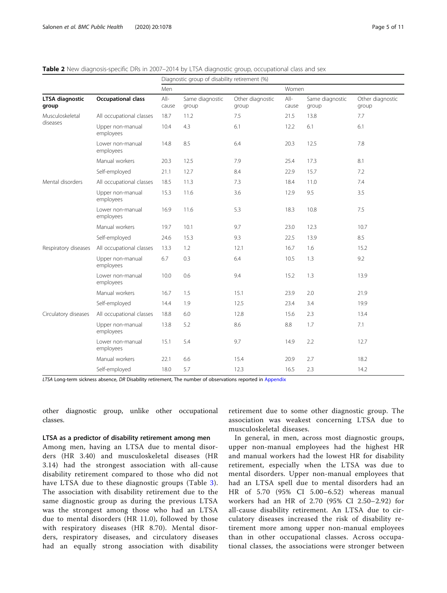# <span id="page-4-0"></span>Table 2 New diagnosis-specific DRs in 2007–2014 by LTSA diagnostic group, occupational class and sex

|                                 |                               | Diagnostic group of disability retirement (%) |                          |                           |                 |                          |                           |  |  |  |
|---------------------------------|-------------------------------|-----------------------------------------------|--------------------------|---------------------------|-----------------|--------------------------|---------------------------|--|--|--|
|                                 |                               | Men                                           |                          |                           | Women           |                          |                           |  |  |  |
| <b>LTSA</b> diagnostic<br>group | <b>Occupational class</b>     | $All-$<br>cause                               | Same diagnostic<br>group | Other diagnostic<br>group | $All-$<br>cause | Same diagnostic<br>group | Other diagnostic<br>group |  |  |  |
| Musculoskeletal                 | All occupational classes      | 18.7                                          | 11.2                     | 7.5                       | 21.5            | 13.8                     | 7.7                       |  |  |  |
| diseases                        | Upper non-manual<br>employees | 10.4                                          | 4.3                      | 6.1                       | 12.2            | 6.1                      | 6.1                       |  |  |  |
|                                 | Lower non-manual<br>employees | 14.8                                          | 8.5                      | 6.4                       | 20.3            | 12.5                     | 7.8                       |  |  |  |
|                                 | Manual workers                | 20.3                                          | 12.5                     | 7.9                       | 25.4            | 17.3                     | 8.1                       |  |  |  |
|                                 | Self-employed                 | 21.1                                          | 12.7                     | 8.4                       | 22.9            | 15.7                     | 7.2                       |  |  |  |
| Mental disorders                | All occupational classes      | 18.5                                          | 11.3                     | 7.3                       | 18.4            | 11.0                     | 7.4                       |  |  |  |
|                                 | Upper non-manual<br>employees | 15.3                                          | 11.6                     | 3.6                       | 12.9            | 9.5                      | 3.5                       |  |  |  |
|                                 | Lower non-manual<br>employees | 16.9                                          | 11.6                     | 5.3                       | 18.3            | 10.8                     | 7.5                       |  |  |  |
|                                 | Manual workers                | 19.7                                          | 10.1                     | 9.7                       | 23.0            | 12.3                     | 10.7                      |  |  |  |
|                                 | Self-employed                 | 24.6                                          | 15.3                     | 9.3                       | 22.5            | 13.9                     | 8.5                       |  |  |  |
| Respiratory diseases            | All occupational classes      | 13.3                                          | 1.2                      | 12.1                      | 16.7            | 1.6                      | 15.2                      |  |  |  |
|                                 | Upper non-manual<br>employees | 6.7                                           | 0.3                      | 6.4                       | 10.5            | 1.3                      | 9.2                       |  |  |  |
|                                 | Lower non-manual<br>employees | 10.0                                          | 0.6                      | 9.4                       | 15.2            | 1.3                      | 13.9                      |  |  |  |
|                                 | Manual workers                | 16.7                                          | 1.5                      | 15.1                      | 23.9            | 2.0                      | 21.9                      |  |  |  |
|                                 | Self-employed                 | 14.4                                          | 1.9                      | 12.5                      | 23.4            | 3.4                      | 19.9                      |  |  |  |
| Circulatory diseases            | All occupational classes      | 18.8                                          | 6.0                      | 12.8                      | 15.6            | 2.3                      | 13.4                      |  |  |  |
|                                 | Upper non-manual<br>employees | 13.8                                          | 5.2                      | 8.6                       | 8.8             | 1.7                      | 7.1                       |  |  |  |
|                                 | Lower non-manual<br>employees | 15.1                                          | 5.4                      | 9.7                       | 14.9            | 2.2                      | 12.7                      |  |  |  |
|                                 | Manual workers                | 22.1                                          | 6.6                      | 15.4                      | 20.9            | 2.7                      | 18.2                      |  |  |  |
|                                 | Self-employed                 | 18.0                                          | 5.7                      | 12.3                      | 16.5            | 2.3                      | 14.2                      |  |  |  |

LTSA Long-term sickness absence, DR Disability retirement, The number of observations reported in [Appendix](#page-9-0)

other diagnostic group, unlike other occupational classes.

#### LTSA as a predictor of disability retirement among men

Among men, having an LTSA due to mental disorders (HR 3.40) and musculoskeletal diseases (HR 3.14) had the strongest association with all-cause disability retirement compared to those who did not have LTSA due to these diagnostic groups (Table [3](#page-5-0)). The association with disability retirement due to the same diagnostic group as during the previous LTSA was the strongest among those who had an LTSA due to mental disorders (HR 11.0), followed by those with respiratory diseases (HR 8.70). Mental disorders, respiratory diseases, and circulatory diseases had an equally strong association with disability retirement due to some other diagnostic group. The association was weakest concerning LTSA due to musculoskeletal diseases.

In general, in men, across most diagnostic groups, upper non-manual employees had the highest HR and manual workers had the lowest HR for disability retirement, especially when the LTSA was due to mental disorders. Upper non-manual employees that had an LTSA spell due to mental disorders had an HR of 5.70 (95% CI 5.00–6.52) whereas manual workers had an HR of 2.70 (95% CI 2.50–2.92) for all-cause disability retirement. An LTSA due to circulatory diseases increased the risk of disability retirement more among upper non-manual employees than in other occupational classes. Across occupational classes, the associations were stronger between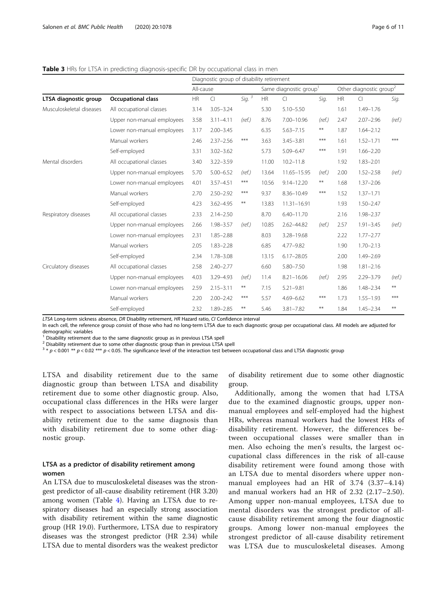#### <span id="page-5-0"></span>**Table 3** HRs for LTSA in predicting diagnosis-specific DR by occupational class in men

|                          |                            | Diagnostic group of disability retirement |               |                                    |       |                |                                     |           |               |        |
|--------------------------|----------------------------|-------------------------------------------|---------------|------------------------------------|-------|----------------|-------------------------------------|-----------|---------------|--------|
|                          |                            | All-cause                                 |               | Same diagnostic group <sup>1</sup> |       |                | Other diagnostic group <sup>2</sup> |           |               |        |
| LTSA diagnostic group    | <b>Occupational class</b>  | <b>HR</b>                                 | $\subset$     | Sig. $3$                           | HR    | $\Box$         | Sig.                                | <b>HR</b> | $\Box$        | Sig.   |
| Musculoskeletal diseases | All occupational classes   | 3.14                                      | $3.05 - 3.24$ |                                    | 5.30  | $5.10 - 5.50$  |                                     | 1.61      | $1.49 - 1.76$ |        |
|                          | Upper non-manual employees | 3.58                                      | $3.11 - 4.11$ | (ref.)                             | 8.76  | 7.00-10.96     | (ref.)                              | 2.47      | $2.07 - 2.96$ | (ref.) |
|                          | Lower non-manual employees | 3.17                                      | $2.00 - 3.45$ |                                    | 6.35  | $5.63 - 7.15$  | $\ast\ast$                          | 1.87      | $1.64 - 2.12$ |        |
|                          | Manual workers             | 2.46                                      | $2.37 - 2.56$ | ***                                | 3.63  | $3.45 - 3.81$  | $***$                               | 1.61      | $1.52 - 1.71$ | ***    |
|                          | Self-employed              | 3.31                                      | $3.02 - 3.62$ |                                    | 5.73  | 5.09-6.47      | $***$                               | 1.91      | $1.66 - 2.20$ |        |
| Mental disorders         | All occupational classes   | 3.40                                      | $3.22 - 3.59$ |                                    | 11.00 | $10.2 - 11.8$  |                                     | 1.92      | $1.83 - 2.01$ |        |
|                          | Upper non-manual employees | 5.70                                      | $5.00 - 6.52$ | (ref.)                             | 13.64 | 11.65-15.95    | (ref.)                              | 2.00      | $1.52 - 2.58$ | (ref.) |
|                          | Lower non-manual employees | 4.01                                      | $3.57 - 4.51$ | $***$                              | 10.56 | $9.14 - 12.20$ | $\pmb{\ast}\pmb{\ast}$              | 1.68      | $1.37 - 2.06$ |        |
|                          | Manual workers             | 2.70                                      | $2.50 - 2.92$ | $***$                              | 9.37  | $8.36 - 10.49$ | $***$                               | 1.52      | $1.37 - 1.71$ |        |
|                          | Self-employed              | 4.23                                      | $3.62 - 4.95$ | $***$                              | 13.83 | 11.31-16.91    |                                     | 1.93      | $1.50 - 2.47$ |        |
| Respiratory diseases     | All occupational classes   | 2.33                                      | $2.14 - 2.50$ |                                    | 8.70  | $6.40 - 11.70$ |                                     | 2.16      | $1.98 - 2.37$ |        |
|                          | Upper non-manual employees | 2.66                                      | 1.98-3.57     | (ref.)                             | 10.85 | 2.62-44.82     | (ref.)                              | 2.57      | $1.91 - 3.45$ | (ref.) |
|                          | Lower non-manual employees | 2.31                                      | $1.85 - 2.88$ |                                    | 8.03  | 3.28-19.68     |                                     | 2.22      | $1.77 - 2.77$ |        |
|                          | Manual workers             | 2.05                                      | $1.83 - 2.28$ |                                    | 6.85  | $4.77 - 9.82$  |                                     | 1.90      | $1.70 - 2.13$ |        |
|                          | Self-employed              | 2.34                                      | $1.78 - 3.08$ |                                    | 13.15 | $6.17 - 28.05$ |                                     | 2.00      | $1.49 - 2.69$ |        |
| Circulatory diseases     | All occupational classes   | 2.58                                      | $2.40 - 2.77$ |                                    | 6.60  | $5.80 - 7.50$  |                                     | 1.98      | $1.81 - 2.16$ |        |
|                          | Upper non-manual employees | 4.03                                      | 3.29-4.93     | (ref.)                             | 11.4  | $8.21 - 16.06$ | (ref.)                              | 2.95      | 2.29-3.79     | (ref.) |
|                          | Lower non-manual employees | 2.59                                      | $2.15 - 3.11$ | $***$                              | 7.15  | $5.21 - 9.81$  |                                     | 1.86      | $1.48 - 2.34$ | $***$  |
|                          | Manual workers             | 2.20                                      | $2.00 - 2.42$ | ***                                | 5.57  | $4.69 - 6.62$  | $***$                               | 1.73      | $1.55 - 1.93$ | ***    |
|                          | Self-employed              | 2.32                                      | 1.89-2.85     | $***$                              | 5.46  | $3.81 - 7.82$  | $***$                               | 1.84      | $1.45 - 2.34$ | $***$  |

LTSA Long-term sickness absence, DR Disability retirement, HR Hazard ratio, CI Confidence interval In each cell, the reference group consist of those who had no long-term LTSA due to each diagnostic group per occupational class. All models are adjusted for

demographic variables

 $1$  Disability retirement due to the same diagnostic group as in previous LTSA spell

<sup>2</sup> Disability retirement due to some other diagnostic group than in previous LTSA spell

 $3 * p < 0.001 ** p < 0.02*** p < 0.05$ . The significance level of the interaction test between occupational class and LTSA diagnostic group

LTSA and disability retirement due to the same diagnostic group than between LTSA and disability retirement due to some other diagnostic group. Also, occupational class differences in the HRs were larger with respect to associations between LTSA and disability retirement due to the same diagnosis than with disability retirement due to some other diagnostic group.

# LTSA as a predictor of disability retirement among women

An LTSA due to musculoskeletal diseases was the strongest predictor of all-cause disability retirement (HR 3.20) among women (Table [4](#page-6-0)). Having an LTSA due to respiratory diseases had an especially strong association with disability retirement within the same diagnostic group (HR 19.0). Furthermore, LTSA due to respiratory diseases was the strongest predictor (HR 2.34) while LTSA due to mental disorders was the weakest predictor of disability retirement due to some other diagnostic group.

Additionally, among the women that had LTSA due to the examined diagnostic groups, upper nonmanual employees and self-employed had the highest HRs, whereas manual workers had the lowest HRs of disability retirement. However, the differences between occupational classes were smaller than in men. Also echoing the men's results, the largest occupational class differences in the risk of all-cause disability retirement were found among those with an LTSA due to mental disorders where upper nonmanual employees had an HR of 3.74 (3.37–4.14) and manual workers had an HR of 2.32 (2.17–2.50). Among upper non-manual employees, LTSA due to mental disorders was the strongest predictor of allcause disability retirement among the four diagnostic groups. Among lower non-manual employees the strongest predictor of all-cause disability retirement was LTSA due to musculoskeletal diseases. Among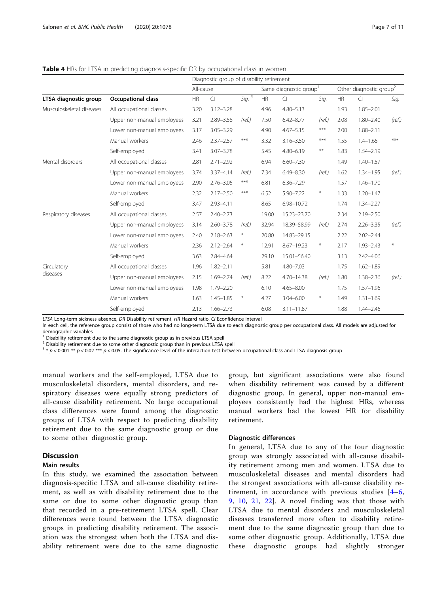# <span id="page-6-0"></span>Table 4 HRs for LTSA in predicting diagnosis-specific DR by occupational class in women

|                          |                                        | Diagnostic group of disability retirement |               |          |                                    |                |        |                                     |               |        |
|--------------------------|----------------------------------------|-------------------------------------------|---------------|----------|------------------------------------|----------------|--------|-------------------------------------|---------------|--------|
|                          |                                        | All-cause                                 |               |          | Same diagnostic group <sup>1</sup> |                |        | Other diagnostic group <sup>2</sup> |               |        |
| LTSA diagnostic group    | <b>HR</b><br><b>Occupational class</b> |                                           | $\subset$     | Sig. $3$ | HR                                 | $\Box$         | Sig.   | <b>HR</b>                           | $\Box$        | Sig.   |
| Musculoskeletal diseases | All occupational classes               | 3.20                                      | $3.12 - 3.28$ |          | 4.96                               | $4.80 - 5.13$  |        | 1.93                                | $1.85 - 2.01$ |        |
|                          | Upper non-manual employees             | 3.21                                      | $2.89 - 3.58$ | (ref.)   | 7.50                               | $6.42 - 8.77$  | (ref.) | 2.08                                | $1.80 - 2.40$ | (ref.) |
|                          | Lower non-manual employees             | 3.17                                      | $3.05 - 3.29$ |          | 4.90                               | $4.67 - 5.15$  | $***$  | 2.00                                | $1.88 - 2.11$ |        |
|                          | Manual workers                         | 2.46                                      | $2.37 - 2.57$ | $***$    | 3.32                               | $3.16 - 3.50$  | $***$  | 1.55                                | $1.4 - 1.65$  | ***    |
|                          | Self-employed                          | 3.41                                      | $3.07 - 3.78$ |          | 5.45                               | $4.80 - 6.19$  | $***$  | 1.83                                | $1.54 - 2.19$ |        |
| Mental disorders         | All occupational classes               | 2.81                                      | $2.71 - 2.92$ |          | 6.94                               | $6.60 - 7.30$  |        | 1.49                                | $1.40 - 1.57$ |        |
|                          | Upper non-manual employees             | 3.74                                      | $3.37 - 4.14$ | (ref.)   | 7.34                               | $6.49 - 8.30$  | (ref.) | 1.62                                | $1.34 - 1.95$ | (ref.) |
|                          | Lower non-manual employees             | 2.90                                      | $2.76 - 3.05$ | $***$    | 6.81                               | $6.36 - 7.29$  |        | 1.57                                | $1.46 - 1.70$ |        |
|                          | Manual workers                         | 2.32                                      | $2.17 - 2.50$ | $***$    | 6.52                               | $5.90 - 7.22$  | $\ast$ | 1.33                                | $1.20 - 1.47$ |        |
|                          | Self-employed                          | 3.47                                      | $2.93 - 4.11$ |          | 8.65                               | 6.98-10.72     |        | 1.74                                | $1.34 - 2.27$ |        |
| Respiratory diseases     | All occupational classes               | 2.57                                      | $2.40 - 2.73$ |          | 19.00                              | 15.23-23.70    |        | 2.34                                | $2.19 - 2.50$ |        |
|                          | Upper non-manual employees             | 3.14                                      | $2.60 - 3.78$ | (ref.)   | 32.94                              | 18.39-58.99    | (ref.) | 2.74                                | $2.26 - 3.35$ | (ref.) |
|                          | Lower non-manual employees             | 2.40                                      | $2.18 - 2.63$ | $\ast$   | 20.80                              | 14.83-29.15    |        | 2.22                                | $2.02 - 2.44$ |        |
|                          | Manual workers                         | 2.36                                      | $2.12 - 2.64$ | $\ast$   | 12.91                              | $8.67 - 19.23$ | $\ast$ | 2.17                                | $1.93 - 2.43$ | ₩      |
|                          | Self-employed                          | 3.63                                      | $2.84 - 4.64$ |          | 29.10                              | 15.01-56.40    |        | 3.13                                | $2.42 - 4.06$ |        |
| Circulatory              | All occupational classes               | 1.96                                      | $1.82 - 2.11$ |          | 5.81                               | $4.80 - 7.03$  |        | 1.75                                | $1.62 - 1.89$ |        |
| diseases                 | Upper non-manual employees             | 2.15                                      | $1.69 - 2.74$ | (ref.)   | 8.22                               | $4.70 - 14.38$ | (ref.) | 1.80                                | $1.38 - 2.36$ | (ref.) |
|                          | Lower non-manual employees             | 1.98                                      | $1.79 - 2.20$ |          | 6.10                               | $4.65 - 8.00$  |        | 1.75                                | $1.57 - 1.96$ |        |
|                          | Manual workers                         | 1.63                                      | $1.45 - 1.85$ | $\ast$   | 4.27                               | $3.04 - 6.00$  | $\ast$ | 1.49                                | $1.31 - 1.69$ |        |
|                          | Self-employed                          | 2.13                                      | $1.66 - 2.73$ |          | 6.08                               | $3.11 - 11.87$ |        | 1.88                                | $1.44 - 2.46$ |        |

LTSA Long-term sickness absence, DR Disability retirement, HR Hazard ratio, CI Econfidence interval In each cell, the reference group consist of those who had no long-term LTSA due to each diagnostic group per occupational class. All models are adjusted for demographic variables

 $1$  Disability retirement due to the same diagnostic group as in previous LTSA spell

<sup>2</sup> Disability retirement due to some other diagnostic group than in previous LTSA spell

 $3 * p < 0.001 ** p < 0.02$  \*\*\*  $p < 0.05$ . The significance level of the interaction test between occupational class and LTSA diagnosis group

manual workers and the self-employed, LTSA due to musculoskeletal disorders, mental disorders, and respiratory diseases were equally strong predictors of all-cause disability retirement. No large occupational class differences were found among the diagnostic groups of LTSA with respect to predicting disability retirement due to the same diagnostic group or due to some other diagnostic group.

# Discussion

# Main results

In this study, we examined the association between diagnosis-specific LTSA and all-cause disability retirement, as well as with disability retirement due to the same or due to some other diagnostic group than that recorded in a pre-retirement LTSA spell. Clear differences were found between the LTSA diagnostic groups in predicting disability retirement. The association was the strongest when both the LTSA and disability retirement were due to the same diagnostic

group, but significant associations were also found when disability retirement was caused by a different diagnostic group. In general, upper non-manual employees consistently had the highest HRs, whereas manual workers had the lowest HR for disability retirement.

#### Diagnostic differences

In general, LTSA due to any of the four diagnostic group was strongly associated with all-cause disability retirement among men and women. LTSA due to musculoskeletal diseases and mental disorders had the strongest associations with all-cause disability retirement, in accordance with previous studies [[4](#page-10-0)–[6](#page-10-0), [9,](#page-10-0) [10,](#page-10-0) [21](#page-10-0), [22\]](#page-10-0). A novel finding was that those with LTSA due to mental disorders and musculoskeletal diseases transferred more often to disability retirement due to the same diagnostic group than due to some other diagnostic group. Additionally, LTSA due these diagnostic groups had slightly stronger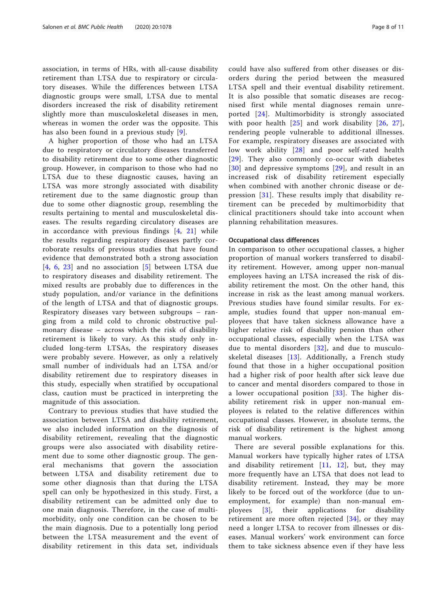association, in terms of HRs, with all-cause disability retirement than LTSA due to respiratory or circulatory diseases. While the differences between LTSA diagnostic groups were small, LTSA due to mental disorders increased the risk of disability retirement slightly more than musculoskeletal diseases in men, whereas in women the order was the opposite. This has also been found in a previous study [[9](#page-10-0)].

A higher proportion of those who had an LTSA due to respiratory or circulatory diseases transferred to disability retirement due to some other diagnostic group. However, in comparison to those who had no LTSA due to these diagnostic causes, having an LTSA was more strongly associated with disability retirement due to the same diagnostic group than due to some other diagnostic group, resembling the results pertaining to mental and musculoskeletal diseases. The results regarding circulatory diseases are in accordance with previous findings [[4](#page-10-0), [21\]](#page-10-0) while the results regarding respiratory diseases partly corroborate results of previous studies that have found evidence that demonstrated both a strong association [[4](#page-10-0), [6](#page-10-0), [23](#page-10-0)] and no association [[5](#page-10-0)] between LTSA due to respiratory diseases and disability retirement. The mixed results are probably due to differences in the study population, and/or variance in the definitions of the length of LTSA and that of diagnostic groups. Respiratory diseases vary between subgroups – ranging from a mild cold to chronic obstructive pulmonary disease – across which the risk of disability retirement is likely to vary. As this study only included long-term LTSAs, the respiratory diseases were probably severe. However, as only a relatively small number of individuals had an LTSA and/or disability retirement due to respiratory diseases in this study, especially when stratified by occupational class, caution must be practiced in interpreting the magnitude of this association.

Contrary to previous studies that have studied the association between LTSA and disability retirement, we also included information on the diagnosis of disability retirement, revealing that the diagnostic groups were also associated with disability retirement due to some other diagnostic group. The general mechanisms that govern the association between LTSA and disability retirement due to some other diagnosis than that during the LTSA spell can only be hypothesized in this study. First, a disability retirement can be admitted only due to one main diagnosis. Therefore, in the case of multimorbidity, only one condition can be chosen to be the main diagnosis. Due to a potentially long period between the LTSA measurement and the event of disability retirement in this data set, individuals

could have also suffered from other diseases or disorders during the period between the measured LTSA spell and their eventual disability retirement. It is also possible that somatic diseases are recognised first while mental diagnoses remain unreported [\[24\]](#page-10-0). Multimorbidity is strongly associated with poor health [[25](#page-10-0)] and work disability [[26,](#page-10-0) [27](#page-10-0)], rendering people vulnerable to additional illnesses. For example, respiratory diseases are associated with low work ability [[28](#page-10-0)] and poor self-rated health [[29](#page-10-0)]. They also commonly co-occur with diabetes [[30](#page-10-0)] and depressive symptoms [[29\]](#page-10-0), and result in an increased risk of disability retirement especially when combined with another chronic disease or depression [[31\]](#page-10-0). These results imply that disability retirement can be preceded by multimorbidity that clinical practitioners should take into account when planning rehabilitation measures.

#### Occupational class differences

In comparison to other occupational classes, a higher proportion of manual workers transferred to disability retirement. However, among upper non-manual employees having an LTSA increased the risk of disability retirement the most. On the other hand, this increase in risk as the least among manual workers. Previous studies have found similar results. For example, studies found that upper non-manual employees that have taken sickness allowance have a higher relative risk of disability pension than other occupational classes, especially when the LTSA was due to mental disorders [[32](#page-10-0)], and due to musculoskeletal diseases  $[13]$  $[13]$  $[13]$ . Additionally, a French study found that those in a higher occupational position had a higher risk of poor health after sick leave due to cancer and mental disorders compared to those in a lower occupational position  $[33]$  $[33]$ . The higher disability retirement risk in upper non-manual employees is related to the relative differences within occupational classes. However, in absolute terms, the risk of disability retirement is the highest among manual workers.

There are several possible explanations for this. Manual workers have typically higher rates of LTSA and disability retirement [[11](#page-10-0), [12\]](#page-10-0), but, they may more frequently have an LTSA that does not lead to disability retirement. Instead, they may be more likely to be forced out of the workforce (due to unemployment, for example) than non-manual employees [[3\]](#page-10-0), their applications for disability retirement are more often rejected [\[34](#page-10-0)], or they may need a longer LTSA to recover from illnesses or diseases. Manual workers' work environment can force them to take sickness absence even if they have less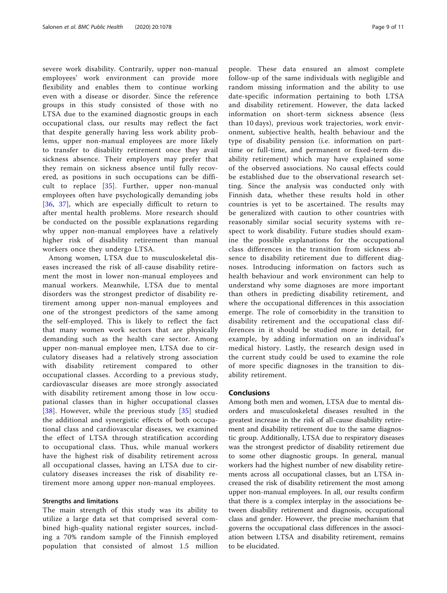severe work disability. Contrarily, upper non-manual employees' work environment can provide more flexibility and enables them to continue working even with a disease or disorder. Since the reference groups in this study consisted of those with no LTSA due to the examined diagnostic groups in each occupational class, our results may reflect the fact that despite generally having less work ability problems, upper non-manual employees are more likely to transfer to disability retirement once they avail sickness absence. Their employers may prefer that they remain on sickness absence until fully recovered, as positions in such occupations can be difficult to replace [[35\]](#page-10-0). Further, upper non-manual employees often have psychologically demanding jobs [[36](#page-10-0), [37](#page-10-0)], which are especially difficult to return to after mental health problems. More research should be conducted on the possible explanations regarding why upper non-manual employees have a relatively higher risk of disability retirement than manual workers once they undergo LTSA.

Among women, LTSA due to musculoskeletal diseases increased the risk of all-cause disability retirement the most in lower non-manual employees and manual workers. Meanwhile, LTSA due to mental disorders was the strongest predictor of disability retirement among upper non-manual employees and one of the strongest predictors of the same among the self-employed. This is likely to reflect the fact that many women work sectors that are physically demanding such as the health care sector. Among upper non-manual employee men, LTSA due to circulatory diseases had a relatively strong association with disability retirement compared to other occupational classes. According to a previous study, cardiovascular diseases are more strongly associated with disability retirement among those in low occupational classes than in higher occupational classes [[38](#page-10-0)]. However, while the previous study [[35\]](#page-10-0) studied the additional and synergistic effects of both occupational class and cardiovascular diseases, we examined the effect of LTSA through stratification according to occupational class. Thus, while manual workers have the highest risk of disability retirement across all occupational classes, having an LTSA due to circulatory diseases increases the risk of disability retirement more among upper non-manual employees.

#### Strengths and limitations

The main strength of this study was its ability to utilize a large data set that comprised several combined high-quality national register sources, including a 70% random sample of the Finnish employed population that consisted of almost 1.5 million people. These data ensured an almost complete follow-up of the same individuals with negligible and random missing information and the ability to use date-specific information pertaining to both LTSA and disability retirement. However, the data lacked information on short-term sickness absence (less than 10 days), previous work trajectories, work environment, subjective health, health behaviour and the type of disability pension (i.e. information on parttime or full-time, and permanent or fixed-term disability retirement) which may have explained some of the observed associations. No causal effects could be established due to the observational research setting. Since the analysis was conducted only with Finnish data, whether these results hold in other countries is yet to be ascertained. The results may be generalized with caution to other countries with reasonably similar social security systems with respect to work disability. Future studies should examine the possible explanations for the occupational class differences in the transition from sickness absence to disability retirement due to different diagnoses. Introducing information on factors such as health behaviour and work environment can help to understand why some diagnoses are more important than others in predicting disability retirement, and where the occupational differences in this association emerge. The role of comorbidity in the transition to disability retirement and the occupational class differences in it should be studied more in detail, for example, by adding information on an individual's medical history. Lastly, the research design used in the current study could be used to examine the role of more specific diagnoses in the transition to disability retirement.

#### Conclusions

Among both men and women, LTSA due to mental disorders and musculoskeletal diseases resulted in the greatest increase in the risk of all-cause disability retirement and disability retirement due to the same diagnostic group. Additionally, LTSA due to respiratory diseases was the strongest predictor of disability retirement due to some other diagnostic groups. In general, manual workers had the highest number of new disability retirements across all occupational classes, but an LTSA increased the risk of disability retirement the most among upper non-manual employees. In all, our results confirm that there is a complex interplay in the associations between disability retirement and diagnosis, occupational class and gender. However, the precise mechanism that governs the occupational class differences in the association between LTSA and disability retirement, remains to be elucidated.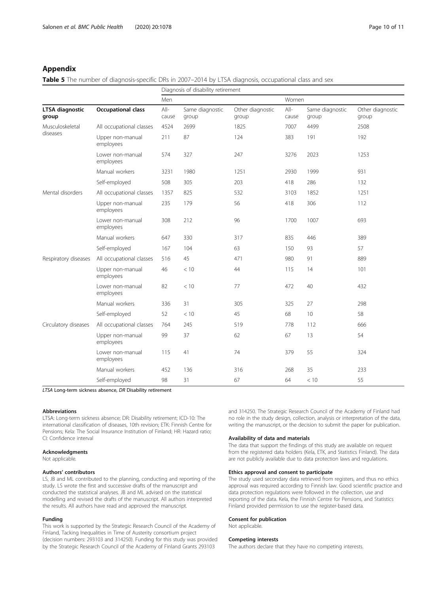# <span id="page-9-0"></span>Appendix

Table 5 The number of diagnosis-specific DRs in 2007–2014 by LTSA diagnosis, occupational class and sex

| Diagnosis of disability retirement |                               |                 |                          |                           |                 |                          |                           |  |
|------------------------------------|-------------------------------|-----------------|--------------------------|---------------------------|-----------------|--------------------------|---------------------------|--|
|                                    |                               | Men             |                          |                           | Women           |                          |                           |  |
| <b>LTSA</b> diagnostic<br>group    | <b>Occupational class</b>     | $All-$<br>cause | Same diagnostic<br>group | Other diagnostic<br>group | $All-$<br>cause | Same diagnostic<br>group | Other diagnostic<br>group |  |
| Musculoskeletal                    | All occupational classes      | 4524            | 2699                     | 1825                      | 7007            | 4499                     | 2508                      |  |
| diseases                           | Upper non-manual<br>employees | 211             | 87                       | 191<br>124<br>383         |                 |                          | 192                       |  |
|                                    | Lower non-manual<br>employees | 574             | 327                      | 247                       | 3276            | 2023                     | 1253                      |  |
|                                    | Manual workers                | 3231            | 1980                     | 1251                      | 2930            | 1999                     | 931                       |  |
|                                    | Self-employed                 | 508             | 305                      | 203                       | 418             | 286                      | 132                       |  |
| Mental disorders                   | All occupational classes      | 1357            | 825                      | 532                       | 3103            | 1852                     | 1251                      |  |
|                                    | Upper non-manual<br>employees | 235             | 179                      | 56                        | 418             | 306                      | 112                       |  |
|                                    | Lower non-manual<br>employees | 308             | 212                      | 96                        | 1700            | 1007                     | 693                       |  |
|                                    | Manual workers                | 647             | 330                      | 317                       | 835             | 446                      | 389                       |  |
|                                    | Self-employed                 | 167             | 104                      | 63                        | 150             | 93                       | 57                        |  |
| Respiratory diseases               | All occupational classes      | 516             | 45                       | 471                       | 980             | 91                       | 889                       |  |
|                                    | Upper non-manual<br>employees | 46              | < 10                     | 44                        | 115             | 14                       | 101                       |  |
|                                    | Lower non-manual<br>employees | 82              | < 10                     | 77                        | 472             | 40                       | 432                       |  |
|                                    | Manual workers                | 336             | 31                       | 305                       | 325             | 27                       | 298                       |  |
|                                    | Self-employed                 | 52              | < 10                     | 45                        | 68              | 10                       | 58                        |  |
| Circulatory diseases               | All occupational classes      | 764             | 245                      | 519                       | 778             | 112                      | 666                       |  |
|                                    | Upper non-manual<br>employees | 99              | 37                       | 62                        | 67              | 13                       | 54                        |  |
|                                    | Lower non-manual<br>employees | 115             | 41                       | 74                        | 379             | 55                       | 324                       |  |
|                                    | Manual workers                | 452             | 136                      | 316                       | 268             | 35                       | 233                       |  |
|                                    | Self-employed                 | 98              | 31                       | 67                        | 64              | < 10                     | 55                        |  |

LTSA Long-term sickness absence, DR Disability retirement

#### Abbreviations

LTSA: Long-term sickness absence; DR: Disability retirement; ICD-10: The international classification of diseases, 10th revision; ETK: Finnish Centre for Pensions; Kela: The Social Insurance Institution of Finland; HR: Hazard ratio; CI: Confidence interval

#### Acknowledgments

Not applicable.

#### Authors' contributors

LS, JB and ML contributed to the planning, conducting and reporting of the study. LS wrote the first and successive drafts of the manuscript and conducted the statistical analyses. JB and ML advised on the statistical modelling and revised the drafts of the manuscript. All authors interpreted the results. All authors have read and approved the manuscript.

#### Funding

This work is supported by the Strategic Research Council of the Academy of Finland, Tacking Inequalities in Time of Austerity consortium project (decision numbers: 293103 and 314250). Funding for this study was provided by the Strategic Research Council of the Academy of Finland Grants 293103

and 314250. The Strategic Research Council of the Academy of Finland had no role in the study design, collection, analysis or interpretation of the data, writing the manuscript, or the decision to submit the paper for publication.

#### Availability of data and materials

The data that support the findings of this study are available on request from the registered data holders (Kela, ETK, and Statistics Finland). The data are not publicly available due to data protection laws and regulations.

#### Ethics approval and consent to participate

The study used secondary data retrieved from registers, and thus no ethics approval was required according to Finnish law. Good scientific practice and data protection regulations were followed in the collection, use and reporting of the data. Kela, the Finnish Centre for Pensions, and Statistics Finland provided permission to use the register-based data.

#### Consent for publication

Not applicable.

#### Competing interests

The authors declare that they have no competing interests.